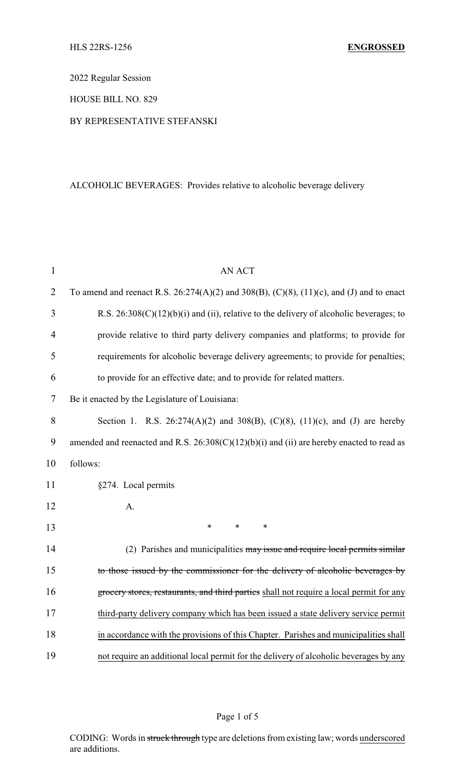2022 Regular Session

HOUSE BILL NO. 829

## BY REPRESENTATIVE STEFANSKI

# ALCOHOLIC BEVERAGES: Provides relative to alcoholic beverage delivery

| $\mathbf{1}$   | <b>AN ACT</b>                                                                                         |
|----------------|-------------------------------------------------------------------------------------------------------|
| $\overline{2}$ | To amend and reenact R.S. $26:274(A)(2)$ and $308(B)$ , $(C)(8)$ , $(11)(c)$ , and $(J)$ and to enact |
| 3              | R.S. $26:308(C)(12)(b)(i)$ and (ii), relative to the delivery of alcoholic beverages; to              |
| 4              | provide relative to third party delivery companies and platforms; to provide for                      |
| 5              | requirements for alcoholic beverage delivery agreements; to provide for penalties;                    |
| 6              | to provide for an effective date; and to provide for related matters.                                 |
| 7              | Be it enacted by the Legislature of Louisiana:                                                        |
| 8              | Section 1. R.S. 26:274(A)(2) and 308(B), (C)(8), (11)(c), and (J) are hereby                          |
| 9              | amended and reenacted and R.S. $26:308(C)(12)(b)(i)$ and (ii) are hereby enacted to read as           |
| 10             | follows:                                                                                              |
| 11             | §274. Local permits                                                                                   |
| 12             | A.                                                                                                    |
| 13             | $\ast$<br>$\ast$<br>*                                                                                 |
| 14             | (2) Parishes and municipalities may issue and require local permits similar                           |
| 15             | to those issued by the commissioner for the delivery of alcoholic beverages by                        |
| 16             | grocery stores, restaurants, and third parties shall not require a local permit for any               |
| 17             | third-party delivery company which has been issued a state delivery service permit                    |
| 18             | in accordance with the provisions of this Chapter. Parishes and municipalities shall                  |
| 19             | not require an additional local permit for the delivery of alcoholic beverages by any                 |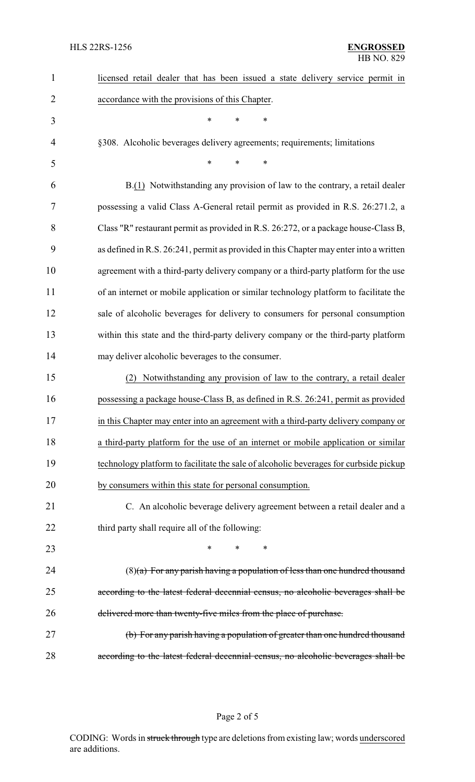| 1              | licensed retail dealer that has been issued a state delivery service permit in         |
|----------------|----------------------------------------------------------------------------------------|
| $\overline{2}$ | accordance with the provisions of this Chapter.                                        |
| 3              | *<br>*<br>*                                                                            |
| $\overline{4}$ | §308. Alcoholic beverages delivery agreements; requirements; limitations               |
| 5              | *<br>$\ast$<br>*                                                                       |
| 6              | B.(1) Notwithstanding any provision of law to the contrary, a retail dealer            |
| 7              | possessing a valid Class A-General retail permit as provided in R.S. 26:271.2, a       |
| 8              | Class "R" restaurant permit as provided in R.S. 26:272, or a package house-Class B,    |
| 9              | as defined in R.S. 26:241, permit as provided in this Chapter may enter into a written |
| 10             | agreement with a third-party delivery company or a third-party platform for the use    |
| 11             | of an internet or mobile application or similar technology platform to facilitate the  |
| 12             | sale of alcoholic beverages for delivery to consumers for personal consumption         |
| 13             | within this state and the third-party delivery company or the third-party platform     |
| 14             | may deliver alcoholic beverages to the consumer.                                       |
| 15             | Notwithstanding any provision of law to the contrary, a retail dealer<br>(2)           |
| 16             | possessing a package house-Class B, as defined in R.S. 26:241, permit as provided      |
| 17             | in this Chapter may enter into an agreement with a third-party delivery company or     |
| 18             | a third-party platform for the use of an internet or mobile application or similar     |
| 19             | technology platform to facilitate the sale of alcoholic beverages for curbside pickup  |
| 20             | by consumers within this state for personal consumption.                               |
| 21             | C. An alcoholic beverage delivery agreement between a retail dealer and a              |
| 22             | third party shall require all of the following:                                        |
| 23             | *<br>*                                                                                 |
| 24             | $(8)(a)$ For any parish having a population of less than one hundred thousand          |
| 25             | according to the latest federal decennial census, no alcoholic beverages shall be      |
| 26             | delivered more than twenty-five miles from the place of purchase.                      |
| 27             | (b) For any parish having a population of greater than one hundred thousand            |
| 28             | according to the latest federal decennial census, no alcoholic beverages shall be      |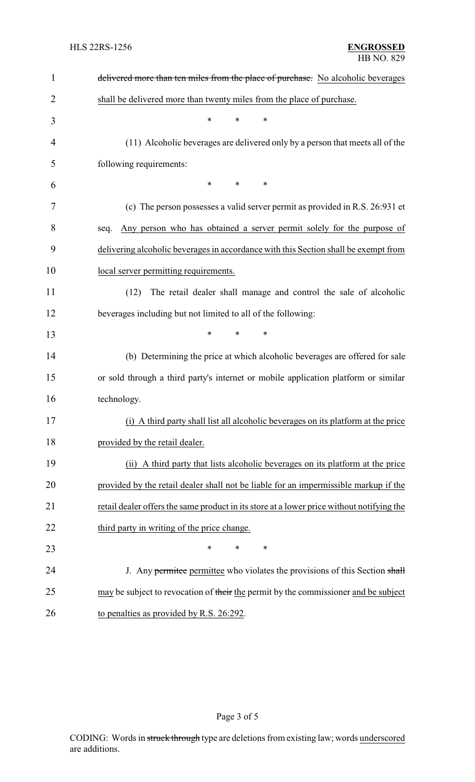| $\mathbf{1}$   | delivered more than ten miles from the place of purchase. No alcoholic beverages          |
|----------------|-------------------------------------------------------------------------------------------|
| $\overline{2}$ | shall be delivered more than twenty miles from the place of purchase.                     |
| 3              | $\ast$<br>*<br>$\ast$                                                                     |
| 4              | (11) Alcoholic beverages are delivered only by a person that meets all of the             |
| 5              | following requirements:                                                                   |
| 6              | $\ast$<br>∗<br>∗                                                                          |
| 7              | (c) The person possesses a valid server permit as provided in R.S. 26:931 et              |
| 8              | Any person who has obtained a server permit solely for the purpose of<br>seq.             |
| 9              | delivering alcoholic beverages in accordance with this Section shall be exempt from       |
| 10             | local server permitting requirements.                                                     |
| 11             | The retail dealer shall manage and control the sale of alcoholic<br>(12)                  |
| 12             | beverages including but not limited to all of the following:                              |
| 13             | $\ast$<br>$\ast$<br>$\ast$                                                                |
| 14             | (b) Determining the price at which alcoholic beverages are offered for sale               |
| 15             | or sold through a third party's internet or mobile application platform or similar        |
| 16             | technology.                                                                               |
| 17             | (i) A third party shall list all alcoholic beverages on its platform at the price         |
| 18             | provided by the retail dealer.                                                            |
| 19             | (ii) A third party that lists alcoholic beverages on its platform at the price            |
| 20             | provided by the retail dealer shall not be liable for an impermissible markup if the      |
| 21             | retail dealer offers the same product in its store at a lower price without notifying the |
| 22             | third party in writing of the price change.                                               |
| 23             | $\ast$<br>$\ast$<br>∗                                                                     |
| 24             | J. Any permite permittee who violates the provisions of this Section shall                |
| 25             | may be subject to revocation of their the permit by the commissioner and be subject       |
| 26             | to penalties as provided by R.S. 26:292.                                                  |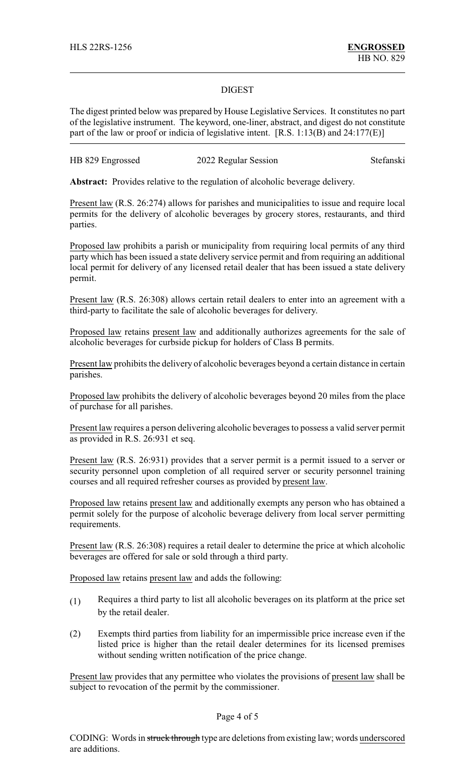#### DIGEST

The digest printed below was prepared by House Legislative Services. It constitutes no part of the legislative instrument. The keyword, one-liner, abstract, and digest do not constitute part of the law or proof or indicia of legislative intent. [R.S. 1:13(B) and 24:177(E)]

| HB 829 Engrossed | 2022 Regular Session | Stefanski |
|------------------|----------------------|-----------|
|------------------|----------------------|-----------|

**Abstract:** Provides relative to the regulation of alcoholic beverage delivery.

Present law (R.S. 26:274) allows for parishes and municipalities to issue and require local permits for the delivery of alcoholic beverages by grocery stores, restaurants, and third parties.

Proposed law prohibits a parish or municipality from requiring local permits of any third party which has been issued a state delivery service permit and from requiring an additional local permit for delivery of any licensed retail dealer that has been issued a state delivery permit.

Present law (R.S. 26:308) allows certain retail dealers to enter into an agreement with a third-party to facilitate the sale of alcoholic beverages for delivery.

Proposed law retains present law and additionally authorizes agreements for the sale of alcoholic beverages for curbside pickup for holders of Class B permits.

Present law prohibits the delivery of alcoholic beverages beyond a certain distance in certain parishes.

Proposed law prohibits the delivery of alcoholic beverages beyond 20 miles from the place of purchase for all parishes.

Present law requires a person delivering alcoholic beverages to possess a valid server permit as provided in R.S. 26:931 et seq.

Present law (R.S. 26:931) provides that a server permit is a permit issued to a server or security personnel upon completion of all required server or security personnel training courses and all required refresher courses as provided by present law.

Proposed law retains present law and additionally exempts any person who has obtained a permit solely for the purpose of alcoholic beverage delivery from local server permitting requirements.

Present law (R.S. 26:308) requires a retail dealer to determine the price at which alcoholic beverages are offered for sale or sold through a third party.

Proposed law retains present law and adds the following:

- (1) Requires a third party to list all alcoholic beverages on its platform at the price set by the retail dealer.
- (2) Exempts third parties from liability for an impermissible price increase even if the listed price is higher than the retail dealer determines for its licensed premises without sending written notification of the price change.

Present law provides that any permittee who violates the provisions of present law shall be subject to revocation of the permit by the commissioner.

### Page 4 of 5

CODING: Words in struck through type are deletions from existing law; words underscored are additions.